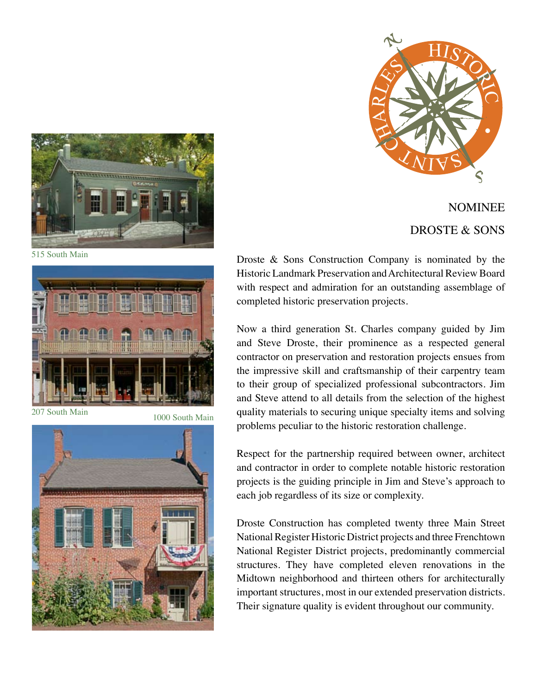





515 South Main



207 South Main 1000 South Main



Droste & Sons Construction Company is nominated by the Historic Landmark Preservation and Architectural Review Board with respect and admiration for an outstanding assemblage of completed historic preservation projects.

Now a third generation St. Charles company guided by Jim and Steve Droste, their prominence as a respected general contractor on preservation and restoration projects ensues from the impressive skill and craftsmanship of their carpentry team to their group of specialized professional subcontractors. Jim and Steve attend to all details from the selection of the highest quality materials to securing unique specialty items and solving problems peculiar to the historic restoration challenge.

Respect for the partnership required between owner, architect and contractor in order to complete notable historic restoration projects is the guiding principle in Jim and Steve's approach to each job regardless of its size or complexity.

Droste Construction has completed twenty three Main Street National Register Historic District projects and three Frenchtown National Register District projects, predominantly commercial structures. They have completed eleven renovations in the Midtown neighborhood and thirteen others for architecturally important structures, most in our extended preservation districts. Their signature quality is evident throughout our community.